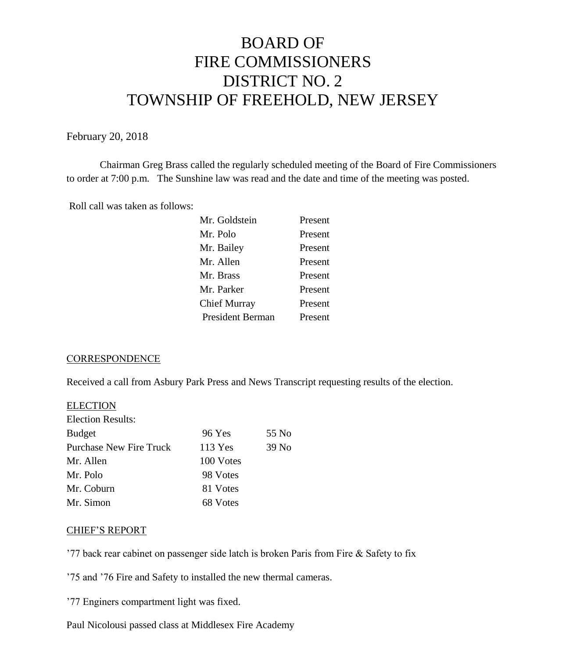# BOARD OF FIRE COMMISSIONERS DISTRICT NO. 2 TOWNSHIP OF FREEHOLD, NEW JERSEY

February 20, 2018

Chairman Greg Brass called the regularly scheduled meeting of the Board of Fire Commissioners to order at 7:00 p.m. The Sunshine law was read and the date and time of the meeting was posted.

Roll call was taken as follows:

| Mr. Goldstein           | Present |
|-------------------------|---------|
| Mr. Polo                | Present |
| Mr. Bailey              | Present |
| Mr. Allen               | Present |
| Mr. Brass               | Present |
| Mr. Parker              | Present |
| Chief Murray            | Present |
| <b>President Berman</b> | Present |
|                         |         |

#### **CORRESPONDENCE**

Received a call from Asbury Park Press and News Transcript requesting results of the election.

| <b>ELECTION</b>          |           |       |
|--------------------------|-----------|-------|
| <b>Election Results:</b> |           |       |
| <b>Budget</b>            | 96 Yes    | 55 No |
| Purchase New Fire Truck  | 113 Yes   | 39 No |
| Mr. Allen                | 100 Votes |       |
| Mr. Polo                 | 98 Votes  |       |
| Mr. Coburn               | 81 Votes  |       |
| Mr. Simon                | 68 Votes  |       |
|                          |           |       |

#### CHIEF'S REPORT

'77 back rear cabinet on passenger side latch is broken Paris from Fire & Safety to fix

'75 and '76 Fire and Safety to installed the new thermal cameras.

'77 Enginers compartment light was fixed.

Paul Nicolousi passed class at Middlesex Fire Academy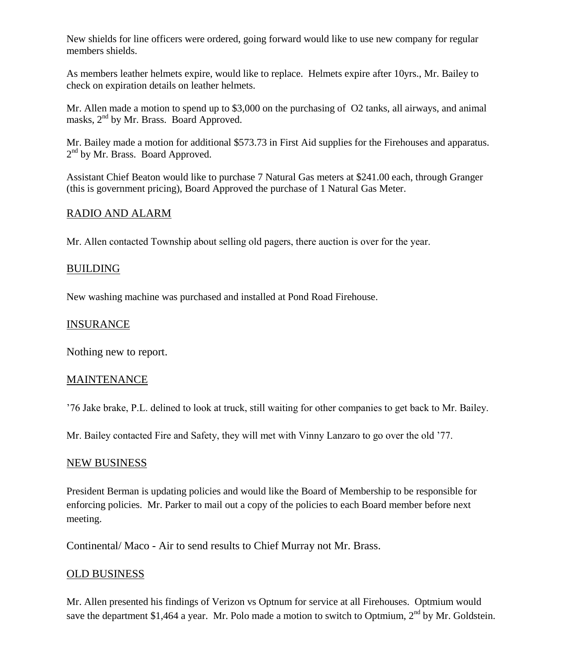New shields for line officers were ordered, going forward would like to use new company for regular members shields.

As members leather helmets expire, would like to replace. Helmets expire after 10yrs., Mr. Bailey to check on expiration details on leather helmets.

Mr. Allen made a motion to spend up to \$3,000 on the purchasing of O2 tanks, all airways, and animal masks, 2<sup>nd</sup> by Mr. Brass. Board Approved.

Mr. Bailey made a motion for additional \$573.73 in First Aid supplies for the Firehouses and apparatus. 2<sup>nd</sup> by Mr. Brass. Board Approved.

Assistant Chief Beaton would like to purchase 7 Natural Gas meters at \$241.00 each, through Granger (this is government pricing), Board Approved the purchase of 1 Natural Gas Meter.

# RADIO AND ALARM

Mr. Allen contacted Township about selling old pagers, there auction is over for the year.

### BUILDING

New washing machine was purchased and installed at Pond Road Firehouse.

## INSURANCE

Nothing new to report.

#### MAINTENANCE

'76 Jake brake, P.L. delined to look at truck, still waiting for other companies to get back to Mr. Bailey.

Mr. Bailey contacted Fire and Safety, they will met with Vinny Lanzaro to go over the old '77.

#### NEW BUSINESS

President Berman is updating policies and would like the Board of Membership to be responsible for enforcing policies. Mr. Parker to mail out a copy of the policies to each Board member before next meeting.

Continental/ Maco - Air to send results to Chief Murray not Mr. Brass.

## OLD BUSINESS

Mr. Allen presented his findings of Verizon vs Optnum for service at all Firehouses. Optmium would save the department \$1,464 a year. Mr. Polo made a motion to switch to Optmium, 2<sup>nd</sup> by Mr. Goldstein.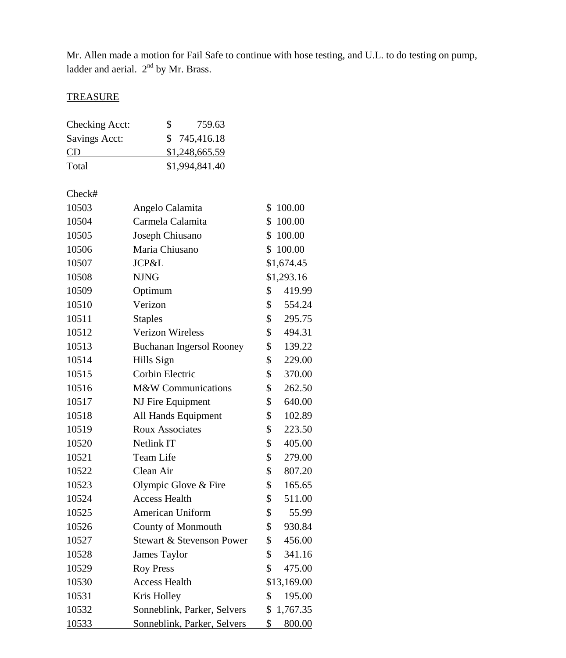Mr. Allen made a motion for Fail Safe to continue with hose testing, and U.L. to do testing on pump, ladder and aerial.  $2<sup>nd</sup>$  by Mr. Brass.

# **TREASURE**

| Checking Acct: | S | 759.63         |
|----------------|---|----------------|
| Savings Acct:  |   | \$745,416.18   |
| CD.            |   | \$1,248,665.59 |
| Total          |   | \$1,994,841.40 |

Check#

| 10503 | Angelo Calamita                 | \$<br>100.00   |
|-------|---------------------------------|----------------|
| 10504 | Carmela Calamita                | \$<br>100.00   |
| 10505 | Joseph Chiusano                 | \$<br>100.00   |
| 10506 | Maria Chiusano                  | \$<br>100.00   |
| 10507 | JCP&L                           | \$1,674.45     |
| 10508 | <b>NJNG</b>                     | \$1,293.16     |
| 10509 | Optimum                         | \$<br>419.99   |
| 10510 | Verizon                         | \$<br>554.24   |
| 10511 | <b>Staples</b>                  | \$<br>295.75   |
| 10512 | <b>Verizon Wireless</b>         | \$<br>494.31   |
| 10513 | <b>Buchanan Ingersol Rooney</b> | \$<br>139.22   |
| 10514 | Hills Sign                      | \$<br>229.00   |
| 10515 | <b>Corbin Electric</b>          | \$<br>370.00   |
| 10516 | M&W Communications              | \$<br>262.50   |
| 10517 | NJ Fire Equipment               | \$<br>640.00   |
| 10518 | All Hands Equipment             | \$<br>102.89   |
| 10519 | <b>Roux Associates</b>          | \$<br>223.50   |
| 10520 | <b>Netlink IT</b>               | \$<br>405.00   |
| 10521 | <b>Team Life</b>                | \$<br>279.00   |
| 10522 | Clean Air                       | \$<br>807.20   |
| 10523 | Olympic Glove & Fire            | \$<br>165.65   |
| 10524 | <b>Access Health</b>            | \$<br>511.00   |
| 10525 | American Uniform                | \$<br>55.99    |
| 10526 | <b>County of Monmouth</b>       | \$<br>930.84   |
| 10527 | Stewart & Stevenson Power       | \$<br>456.00   |
| 10528 | James Taylor                    | \$<br>341.16   |
| 10529 | <b>Roy Press</b>                | \$<br>475.00   |
| 10530 | <b>Access Health</b>            | \$13,169.00    |
| 10531 | Kris Holley                     | \$<br>195.00   |
| 10532 | Sonneblink, Parker, Selvers     | \$<br>1,767.35 |
| 10533 | Sonneblink, Parker, Selvers     | \$<br>800.00   |